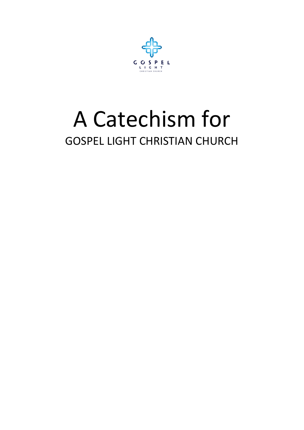

# A Catechism for GOSPEL LIGHT CHRISTIAN CHURCH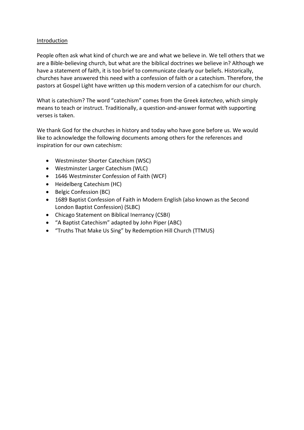#### Introduction

People often ask what kind of church we are and what we believe in. We tell others that we are a Bible-believing church, but what are the biblical doctrines we believe in? Although we have a statement of faith, it is too brief to communicate clearly our beliefs. Historically, churches have answered this need with a confession of faith or a catechism. Therefore, the pastors at Gospel Light have written up this modern version of a catechism for our church.

What is catechism? The word "catechism" comes from the Greek *katecheo*, which simply means to teach or instruct. Traditionally, a question-and-answer format with supporting verses is taken.

We thank God for the churches in history and today who have gone before us. We would like to acknowledge the following documents among others for the references and inspiration for our own catechism:

- Westminster Shorter Catechism (WSC)
- Westminster Larger Catechism (WLC)
- 1646 Westminster Confession of Faith (WCF)
- Heidelberg Catechism (HC)
- Belgic Confession (BC)
- 1689 Baptist Confession of Faith in Modern English (also known as the Second London Baptist Confession) (SLBC)
- Chicago Statement on Biblical Inerrancy (CSBI)
- "A Baptist Catechism" adapted by John Piper (ABC)
- "Truths That Make Us Sing" by Redemption Hill Church (TTMUS)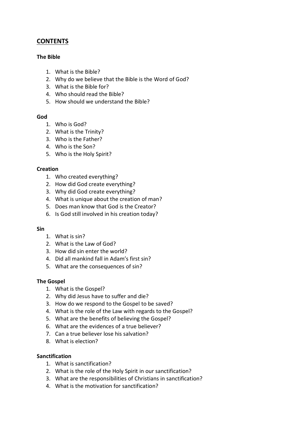# **CONTENTS**

#### **The Bible**

- 1. What is the Bible?
- 2. Why do we believe that the Bible is the Word of God?
- 3. What is the Bible for?
- 4. Who should read the Bible?
- 5. How should we understand the Bible?

#### **God**

- 1. Who is God?
- 2. What is the Trinity?
- 3. Who is the Father?
- 4. Who is the Son?
- 5. Who is the Holy Spirit?

#### **Creation**

- 1. Who created everything?
- 2. How did God create everything?
- 3. Why did God create everything?
- 4. What is unique about the creation of man?
- 5. Does man know that God is the Creator?
- 6. Is God still involved in his creation today?

#### **Sin**

- 1. What is sin?
- 2. What is the Law of God?
- 3. How did sin enter the world?
- 4. Did all mankind fall in Adam's first sin?
- 5. What are the consequences of sin?

#### **The Gospel**

- 1. What is the Gospel?
- 2. Why did Jesus have to suffer and die?
- 3. How do we respond to the Gospel to be saved?
- 4. What is the role of the Law with regards to the Gospel?
- 5. What are the benefits of believing the Gospel?
- 6. What are the evidences of a true believer?
- 7. Can a true believer lose his salvation?
- 8. What is election?

#### **Sanctification**

- 1. What is sanctification?
- 2. What is the role of the Holy Spirit in our sanctification?
- 3. What are the responsibilities of Christians in sanctification?
- 4. What is the motivation for sanctification?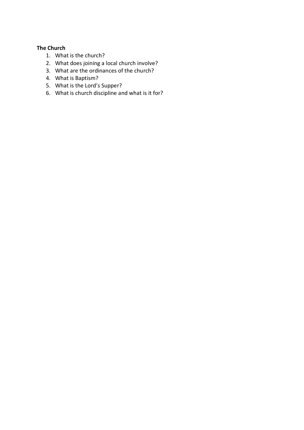#### **The Church**

- 1. What is the church?
- 2. What does joining a local church involve?
- 3. What are the ordinances of the church?
- 4. What is Baptism?
- 5. What is the Lord's Supper?
- 6. What is church discipline and what is it for?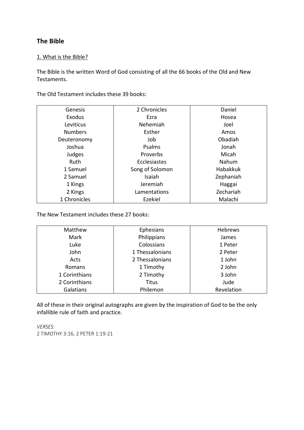# **The Bible**

#### 1. What is the Bible?

The Bible is the written Word of God consisting of all the 66 books of the Old and New Testaments.

The Old Testament includes these 39 books:

| Genesis        | 2 Chronicles        | Daniel    |
|----------------|---------------------|-----------|
| Exodus         | Ezra                | Hosea     |
| Leviticus      | Nehemiah            | Joel      |
| <b>Numbers</b> | Esther              | Amos      |
| Deuteronomy    | Job                 | Obadiah   |
| Joshua         | Psalms              | Jonah     |
| Judges         | Proverbs            | Micah     |
| Ruth           | <b>Ecclesiastes</b> | Nahum     |
| 1 Samuel       | Song of Solomon     | Habakkuk  |
| 2 Samuel       | Isaiah              | Zephaniah |
| 1 Kings        | Jeremiah            | Haggai    |
| 2 Kings        | Lamentations        | Zechariah |
| 1 Chronicles   | Ezekiel             | Malachi   |

The New Testament includes these 27 books:

| Matthew       | Ephesians       | Hebrews    |
|---------------|-----------------|------------|
| Mark          | Philippians     | James      |
| Luke          | Colossians      | 1 Peter    |
| John          | 1 Thessalonians | 2 Peter    |
| Acts          | 2 Thessalonians | 1 John     |
| Romans        | 1 Timothy       | 2 John     |
| 1 Corinthians | 2 Timothy       | 3 John     |
| 2 Corinthians | Titus           | Jude       |
| Galatians     | Philemon        | Revelation |

All of these in their original autographs are given by the inspiration of God to be the only infallible rule of faith and practice.

*VERSES:* 2 TIMOTHY 3:16, 2 PETER 1:19-21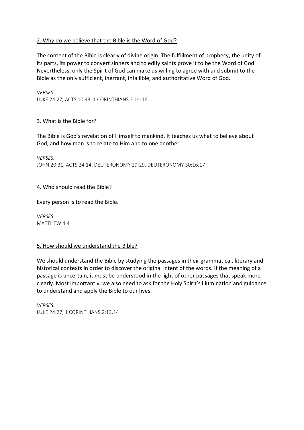#### 2. Why do we believe that the Bible is the Word of God?

The content of the Bible is clearly of divine origin. The fulfillment of prophecy, the unity of its parts, its power to convert sinners and to edify saints prove it to be the Word of God. Nevertheless, only the Spirit of God can make us willing to agree with and submit to the Bible as the only sufficient, inerrant, infallible, and authoritative Word of God.

*VERSES:* LUKE 24:27, ACTS 10:43, 1 CORINTHIANS 2:14-16

#### 3. What is the Bible for?

The Bible is God's revelation of Himself to mankind. It teaches us what to believe about God, and how man is to relate to Him and to one another.

*VERSES:* JOHN 20:31, ACTS 24:14, DEUTERONOMY 29:29, DEUTERONOMY 30:16,17

#### 4. Who should read the Bible?

Every person is to read the Bible.

*VERSES:* MATTHEW 4:4

#### 5. How should we understand the Bible?

We should understand the Bible by studying the passages in their grammatical, literary and historical contexts in order to discover the original intent of the words. If the meaning of a passage is uncertain, it must be understood in the light of other passages that speak more clearly. Most importantly, we also need to ask for the Holy Spirit's illumination and guidance to understand and apply the Bible to our lives.

*VERSES:* LUKE 24:27, 1 CORINTHIANS 2:13,14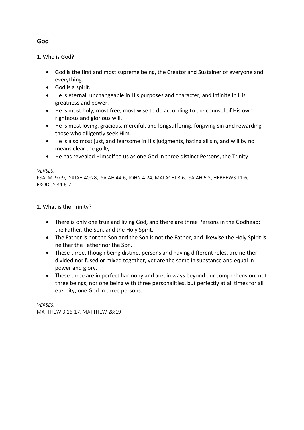# 1. Who is God?

- God is the first and most supreme being, the Creator and Sustainer of everyone and everything.
- God is a spirit.
- He is eternal, unchangeable in His purposes and character, and infinite in His greatness and power.
- He is most holy, most free, most wise to do according to the counsel of His own righteous and glorious will.
- He is most loving, gracious, merciful, and longsuffering, forgiving sin and rewarding those who diligently seek Him.
- He is also most just, and fearsome in His judgments, hating all sin, and will by no means clear the guilty.
- He has revealed Himself to us as one God in three distinct Persons, the Trinity.

#### *VERSES:*

PSALM. 97:9, ISAIAH 40:28, ISAIAH 44:6, JOHN 4:24, MALACHI 3:6, ISAIAH 6:3, HEBREWS 11:6, EXODUS 34:6-7

#### 2. What is the Trinity?

- There is only one true and living God, and there are three Persons in the Godhead: the Father, the Son, and the Holy Spirit.
- The Father is not the Son and the Son is not the Father, and likewise the Holy Spirit is neither the Father nor the Son.
- These three, though being distinct persons and having different roles, are neither divided nor fused or mixed together, yet are the same in substance and equal in power and glory.
- These three are in perfect harmony and are, in ways beyond our comprehension, not three beings, nor one being with three personalities, but perfectly at all times for all eternity, one God in three persons.

*VERSES:* MATTHEW 3:16-17, MATTHEW 28:19

# **God**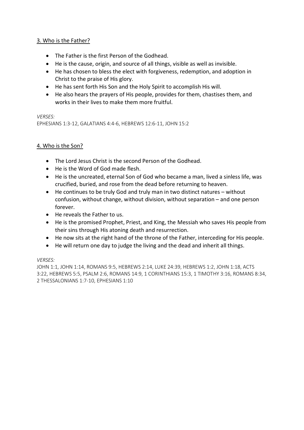#### 3. Who is the Father?

- The Father is the first Person of the Godhead.
- He is the cause, origin, and source of all things, visible as well as invisible.
- He has chosen to bless the elect with forgiveness, redemption, and adoption in Christ to the praise of His glory.
- He has sent forth His Son and the Holy Spirit to accomplish His will.
- He also hears the prayers of His people, provides for them, chastises them, and works in their lives to make them more fruitful.

#### *VERSES:*

EPHESIANS 1:3-12, GALATIANS 4:4-6, HEBREWS 12:6-11, JOHN 15:2

#### 4. Who is the Son?

- The Lord Jesus Christ is the second Person of the Godhead.
- He is the Word of God made flesh.
- He is the uncreated, eternal Son of God who became a man, lived a sinless life, was crucified, buried, and rose from the dead before returning to heaven.
- He continues to be truly God and truly man in two distinct natures without confusion, without change, without division, without separation – and one person forever.
- He reveals the Father to us.
- He is the promised Prophet, Priest, and King, the Messiah who saves His people from their sins through His atoning death and resurrection.
- He now sits at the right hand of the throne of the Father, interceding for His people.
- He will return one day to judge the living and the dead and inherit all things.

#### *VERSES:*

JOHN 1:1, JOHN 1:14, ROMANS 9:5, HEBREWS 2:14, LUKE 24:39, HEBREWS 1:2, JOHN 1:18, ACTS 3:22, HEBREWS 5:5, PSALM 2:6, ROMANS 14:9, 1 CORINTHIANS 15:3, 1 TIMOTHY 3:16, ROMANS 8:34, 2 THESSALONIANS 1:7-10, EPHESIANS 1:10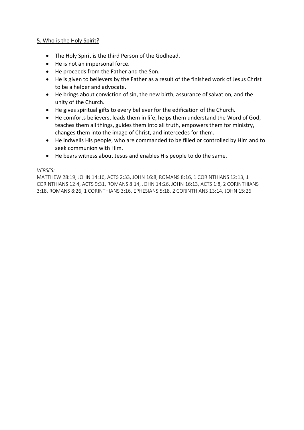#### 5. Who is the Holy Spirit?

- The Holy Spirit is the third Person of the Godhead.
- He is not an impersonal force.
- He proceeds from the Father and the Son.
- He is given to believers by the Father as a result of the finished work of Jesus Christ to be a helper and advocate.
- He brings about conviction of sin, the new birth, assurance of salvation, and the unity of the Church.
- He gives spiritual gifts to every believer for the edification of the Church.
- He comforts believers, leads them in life, helps them understand the Word of God, teaches them all things, guides them into all truth, empowers them for ministry, changes them into the image of Christ, and intercedes for them.
- He indwells His people, who are commanded to be filled or controlled by Him and to seek communion with Him.
- He bears witness about Jesus and enables His people to do the same.

#### *VERSES:*

MATTHEW 28:19, JOHN 14:16, ACTS 2:33, JOHN 16:8, ROMANS 8:16, 1 CORINTHIANS 12:13, 1 CORINTHIANS 12:4, ACTS 9:31, ROMANS 8:14, JOHN 14:26, JOHN 16:13, ACTS 1:8, 2 CORINTHIANS 3:18, ROMANS 8:26, 1 CORINTHIANS 3:16, EPHESIANS 5:18, 2 CORINTHIANS 13:14, JOHN 15:26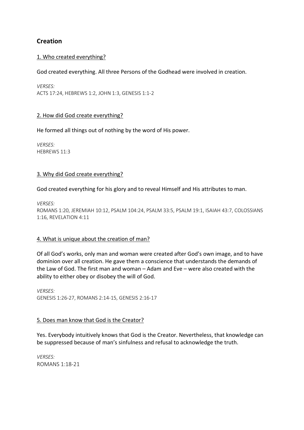# **Creation**

#### 1. Who created everything?

#### God created everything. All three Persons of the Godhead were involved in creation.

*VERSES:* ACTS 17:24, HEBREWS 1:2, JOHN 1:3, GENESIS 1:1-2

#### 2. How did God create everything?

He formed all things out of nothing by the word of His power.

*VERSES:* HEBREWS 11:3

#### 3. Why did God create everything?

God created everything for his glory and to reveal Himself and His attributes to man.

*VERSES:* ROMANS 1:20, JEREMIAH 10:12, PSALM 104:24, PSALM 33:5, PSALM 19:1, ISAIAH 43:7, COLOSSIANS 1:16, REVELATION 4:11

#### 4. What is unique about the creation of man?

Of all God's works, only man and woman were created after God's own image, and to have dominion over all creation. He gave them a conscience that understands the demands of the Law of God. The first man and woman – Adam and Eve – were also created with the ability to either obey or disobey the will of God.

*VERSES:* GENESIS 1:26-27, ROMANS 2:14-15, GENESIS 2:16-17

#### 5. Does man know that God is the Creator?

Yes. Everybody intuitively knows that God is the Creator. Nevertheless, that knowledge can be suppressed because of man's sinfulness and refusal to acknowledge the truth.

*VERSES:* ROMANS 1:18-21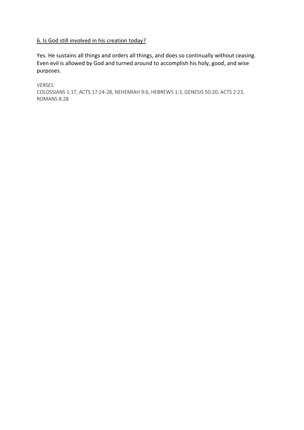#### 6. Is God still involved in his creation today?

Yes. He sustains all things and orders all things, and does so continually without ceasing. Even evil is allowed by God and turned around to accomplish his holy, good, and wise purposes.

*VERSES:* COLOSSIANS 1:17, ACTS 17:24-28, NEHEMIAH 9:6, HEBREWS 1:3, GENESIS 50:20, ACTS 2:23, ROMANS 8:28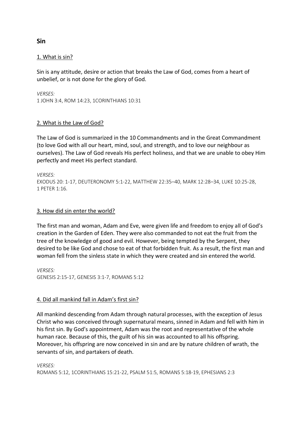#### 1. What is sin?

Sin is any attitude, desire or action that breaks the Law of God, comes from a heart of unbelief, or is not done for the glory of God.

*VERSES:* 1 JOHN 3:4, ROM 14:23, 1CORINTHIANS 10:31

#### 2. What is the Law of God?

The Law of God is summarized in the 10 Commandments and in the Great Commandment (to love God with all our heart, mind, soul, and strength, and to love our neighbour as ourselves). The Law of God reveals His perfect holiness, and that we are unable to obey Him perfectly and meet His perfect standard.

*VERSES:* EXODUS 20: 1-17, DEUTERONOMY 5:1-22, MATTHEW 22:35–40, MARK 12:28–34, LUKE 10:25-28, 1 PETER 1:16.

#### 3. How did sin enter the world?

The first man and woman, Adam and Eve, were given life and freedom to enjoy all of God's creation in the Garden of Eden. They were also commanded to not eat the fruit from the tree of the knowledge of good and evil. However, being tempted by the Serpent, they desired to be like God and chose to eat of that forbidden fruit. As a result, the first man and woman fell from the sinless state in which they were created and sin entered the world.

*VERSES:* GENESIS 2:15-17, GENESIS 3:1-7, ROMANS 5:12

#### 4. Did all mankind fall in Adam's first sin?

All mankind descending from Adam through natural processes, with the exception of Jesus Christ who was conceived through supernatural means, sinned in Adam and fell with him in his first sin. By God's appointment, Adam was the root and representative of the whole human race. Because of this, the guilt of his sin was accounted to all his offspring. Moreover, his offspring are now conceived in sin and are by nature children of wrath, the servants of sin, and partakers of death.

*VERSES:* ROMANS 5:12, 1CORINTHIANS 15:21-22, PSALM 51:5, ROMANS 5:18-19, EPHESIANS 2:3

#### **Sin**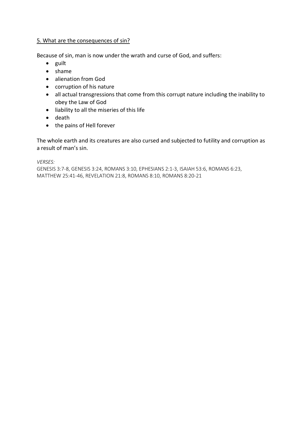#### 5. What are the consequences of sin?

Because of sin, man is now under the wrath and curse of God, and suffers:

- guilt
- shame
- alienation from God
- corruption of his nature
- all actual transgressions that come from this corrupt nature including the inability to obey the Law of God
- liability to all the miseries of this life
- death
- the pains of Hell forever

The whole earth and its creatures are also cursed and subjected to futility and corruption as a result of man's sin.

*VERSES:*

GENESIS 3:7-8, GENESIS 3:24, ROMANS 3:10, EPHESIANS 2:1-3, ISAIAH 53:6, ROMANS 6:23, MATTHEW 25:41-46, REVELATION 21:8, ROMANS 8:10, ROMANS 8:20-21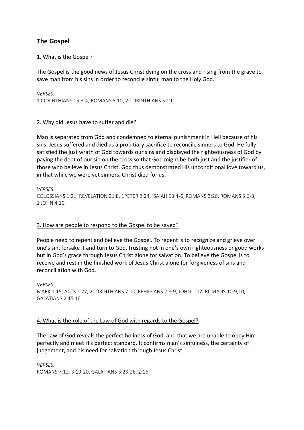# **The Gospel**

#### 1. What is the Gospel?

The Gospel is the good news of Jesus Christ dying on the cross and rising from the grave to save man from his sins in order to reconcile sinful man to the Holy God.

*VERSES:* 1 CORINTHIANS 15:3-4, ROMANS 5:10, 2 CORINTHIANS 5:19

#### 2. Why did Jesus have to suffer and die?

Man is separated from God and condemned to eternal punishment in Hell because of his sins. Jesus suffered and died as a propitiary sacrifice to reconcile sinners to God. He fully satisfied the just wrath of God towards our sins and displayed the righteousness of God by paying the debt of our sin on the cross so that God might be both just and the justifier of those who believe in Jesus Christ. God thus demonstrated His unconditional love toward us, in that while we were yet sinners, Christ died for us.

*VERSES:* COLOSSIANS 1:21, REVELATION 21:8, 1PETER 2:24, ISAIAH 53:4-6, ROMANS 3:26, ROMANS 5:6-8, 1 JOHN 4:10

#### 3. How are people to respond to the Gospel to be saved?

People need to repent and believe the Gospel. To repent is to recognize and grieve over one's sin, forsake it and turn to God, trusting not in one's own righteousness or good works but in God's grace through Jesus Christ alone for salvation. To believe the Gospel is to receive and rest in the finished work of Jesus Christ alone for forgiveness of sins and reconciliation with God.

*VERSES:* MARK 1:15, ACTS 2:27, 2CORINTHIANS 7:10, EPHESIANS 2:8-9, JOHN 1:12, ROMANS 10:9,10, GALATIANS 2:15,16

#### 4. What is the role of the Law of God with regards to the Gospel?

The Law of God reveals the perfect holiness of God, and that we are unable to obey Him perfectly and meet His perfect standard. It confirms man's sinfulness, the certainty of judgement, and his need for salvation through Jesus Christ.

*VERSES:* ROMANS 7:12, 3:19-20, GALATIANS 3:23-26, 2:16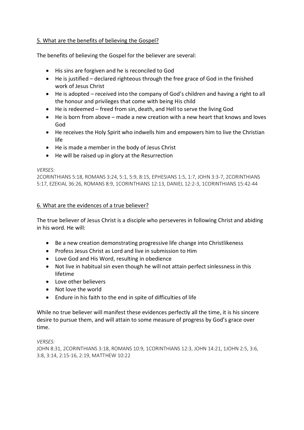#### 5. What are the benefits of believing the Gospel?

The benefits of believing the Gospel for the believer are several:

- His sins are forgiven and he is reconciled to God
- He is justified declared righteous through the free grace of God in the finished work of Jesus Christ
- He is adopted received into the company of God's children and having a right to all the honour and privileges that come with being His child
- He is redeemed freed from sin, death, and Hell to serve the living God
- He is born from above made a new creation with a new heart that knows and loves God
- He receives the Holy Spirit who indwells him and empowers him to live the Christian life
- He is made a member in the body of Jesus Christ
- He will be raised up in glory at the Resurrection

#### *VERSES:*

2CORINTHIANS 5:18, ROMANS 3:24, 5:1, 5:9, 8:15, EPHESIANS 1:5, 1:7, JOHN 3:3-7, 2CORINTHIANS 5:17, EZEKIAL 36:26, ROMANS 8:9, 1CORINTHIANS 12:13, DANIEL 12:2-3, 1CORINTHIANS 15:42-44

#### 6. What are the evidences of a true believer?

The true believer of Jesus Christ is a disciple who perseveres in following Christ and abiding in his word. He will:

- Be a new creation demonstrating progressive life change into Christlikeness
- Profess Jesus Christ as Lord and live in submission to Him
- Love God and His Word, resulting in obedience
- Not live in habitual sin even though he will not attain perfect sinlessness in this lifetime
- Love other believers
- Not love the world
- Endure in his faith to the end in spite of difficulties of life

While no true believer will manifest these evidences perfectly all the time, it is his sincere desire to pursue them, and will attain to some measure of progress by God's grace over time.

#### *VERSES:*

JOHN 8:31, 2CORINTHIANS 3:18, ROMANS 10:9, 1CORINTHIANS 12:3, JOHN 14:21, 1JOHN 2:5, 3:6, 3:8, 3:14, 2:15-16, 2:19, MATTHEW 10:22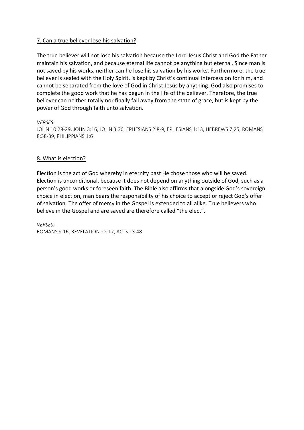#### 7. Can a true believer lose his salvation?

The true believer will not lose his salvation because the Lord Jesus Christ and God the Father maintain his salvation, and because eternal life cannot be anything but eternal. Since man is not saved by his works, neither can he lose his salvation by his works. Furthermore, the true believer is sealed with the Holy Spirit, is kept by Christ's continual intercession for him, and cannot be separated from the love of God in Christ Jesus by anything. God also promises to complete the good work that he has begun in the life of the believer. Therefore, the true believer can neither totally nor finally fall away from the state of grace, but is kept by the power of God through faith unto salvation.

*VERSES:*

JOHN 10:28-29, JOHN 3:16, JOHN 3:36, EPHESIANS 2:8-9, EPHESIANS 1:13, HEBREWS 7:25, ROMANS 8:38-39, PHILIPPIANS 1:6

#### 8. What is election?

Election is the act of God whereby in eternity past He chose those who will be saved. Election is unconditional, because it does not depend on anything outside of God, such as a person's good works or foreseen faith. The Bible also affirms that alongside God's sovereign choice in election, man bears the responsibility of his choice to accept or reject God's offer of salvation. The offer of mercy in the Gospel is extended to all alike. True believers who believe in the Gospel and are saved are therefore called "the elect".

*VERSES:* ROMANS 9:16, REVELATION 22:17, ACTS 13:48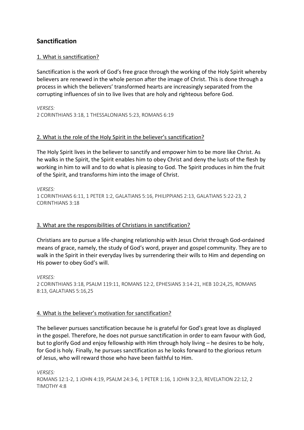### **Sanctification**

#### 1. What is sanctification?

Sanctification is the work of God's free grace through the working of the Holy Spirit whereby believers are renewed in the whole person after the image of Christ. This is done through a process in which the believers' transformed hearts are increasingly separated from the corrupting influences of sin to live lives that are holy and righteous before God.

*VERSES:* 2 CORINTHIANS 3:18, 1 THESSALONIANS 5:23, ROMANS 6:19

#### 2. What is the role of the Holy Spirit in the believer's sanctification?

The Holy Spirit lives in the believer to sanctify and empower him to be more like Christ. As he walks in the Spirit, the Spirit enables him to obey Christ and deny the lusts of the flesh by working in him to will and to do what is pleasing to God. The Spirit produces in him the fruit of the Spirit, and transforms him into the image of Christ.

*VERSES:* 1 CORINTHIANS 6:11, 1 PETER 1:2, GALATIANS 5:16, PHILIPPIANS 2:13, GALATIANS 5:22-23, 2 CORINTHIANS 3:18

#### 3. What are the responsibilities of Christians in sanctification?

Christians are to pursue a life-changing relationship with Jesus Christ through God-ordained means of grace, namely, the study of God's word, prayer and gospel community. They are to walk in the Spirit in their everyday lives by surrendering their wills to Him and depending on His power to obey God's will.

*VERSES:* 2 CORINTHIANS 3:18, PSALM 119:11, ROMANS 12:2, EPHESIANS 3:14-21, HEB 10:24,25, ROMANS 8:13, GALATIANS 5:16,25

#### 4. What is the believer's motivation for sanctification?

The believer pursues sanctification because he is grateful for God's great love as displayed in the gospel. Therefore, he does not pursue sanctification in order to earn favour with God, but to glorify God and enjoy fellowship with Him through holy living – he desires to be holy, for God is holy. Finally, he pursues sanctification as he looks forward to the glorious return of Jesus, who will reward those who have been faithful to Him.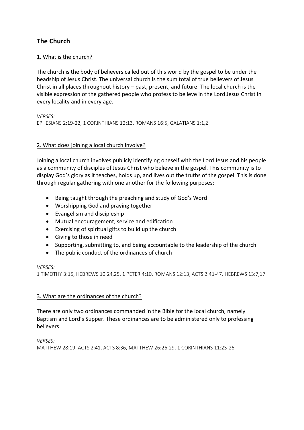# **The Church**

#### 1. What is the church?

The church is the body of believers called out of this world by the gospel to be under the headship of Jesus Christ. The universal church is the sum total of true believers of Jesus Christ in all places throughout history – past, present, and future. The local church is the visible expression of the gathered people who profess to believe in the Lord Jesus Christ in every locality and in every age.

*VERSES:* EPHESIANS 2:19-22, 1 CORINTHIANS 12:13, ROMANS 16:5, GALATIANS 1:1,2

#### 2. What does joining a local church involve?

Joining a local church involves publicly identifying oneself with the Lord Jesus and his people as a community of disciples of Jesus Christ who believe in the gospel. This community is to display God's glory as it teaches, holds up, and lives out the truths of the gospel. This is done through regular gathering with one another for the following purposes:

- Being taught through the preaching and study of God's Word
- Worshipping God and praying together
- Evangelism and discipleship
- Mutual encouragement, service and edification
- Exercising of spiritual gifts to build up the church
- Giving to those in need
- Supporting, submitting to, and being accountable to the leadership of the church
- The public conduct of the ordinances of church

#### *VERSES:*

1 TIMOTHY 3:15, HEBREWS 10:24,25, 1 PETER 4:10, ROMANS 12:13, ACTS 2:41-47, HEBREWS 13:7,17

#### 3. What are the ordinances of the church?

There are only two ordinances commanded in the Bible for the local church, namely Baptism and Lord's Supper. These ordinances are to be administered only to professing believers.

*VERSES:*

MATTHEW 28:19, ACTS 2:41, ACTS 8:36, MATTHEW 26:26-29, 1 CORINTHIANS 11:23-26